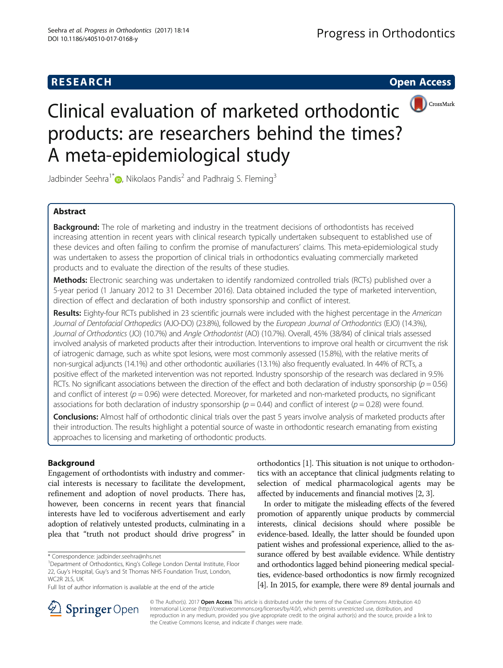## **RESEARCH CHE Open Access**



# Clinical evaluation of marketed orthodontic products: are researchers behind the times? A meta-epidemiological study

Jadbinder Seehra<sup>1\*</sup><sup>1</sup>[,](http://orcid.org/0000-0002-3243-1580) Nikolaos Pandis<sup>2</sup> and Padhraig S. Fleming<sup>3</sup>

## Abstract

**Background:** The role of marketing and industry in the treatment decisions of orthodontists has received increasing attention in recent years with clinical research typically undertaken subsequent to established use of these devices and often failing to confirm the promise of manufacturers' claims. This meta-epidemiological study was undertaken to assess the proportion of clinical trials in orthodontics evaluating commercially marketed products and to evaluate the direction of the results of these studies.

Methods: Electronic searching was undertaken to identify randomized controlled trials (RCTs) published over a 5-year period (1 January 2012 to 31 December 2016). Data obtained included the type of marketed intervention, direction of effect and declaration of both industry sponsorship and conflict of interest.

Results: Eighty-four RCTs published in 23 scientific journals were included with the highest percentage in the American Journal of Dentofacial Orthopedics (AJO-DO) (23.8%), followed by the European Journal of Orthodontics (EJO) (14.3%), Journal of Orthodontics (JO) (10.7%) and Angle Orthodontist (AO) (10.7%). Overall, 45% (38/84) of clinical trials assessed involved analysis of marketed products after their introduction. Interventions to improve oral health or circumvent the risk of iatrogenic damage, such as white spot lesions, were most commonly assessed (15.8%), with the relative merits of non-surgical adjuncts (14.1%) and other orthodontic auxiliaries (13.1%) also frequently evaluated. In 44% of RCTs, a positive effect of the marketed intervention was not reported. Industry sponsorship of the research was declared in 9.5% RCTs. No significant associations between the direction of the effect and both declaration of industry sponsorship ( $p = 0.56$ ) and conflict of interest ( $p = 0.96$ ) were detected. Moreover, for marketed and non-marketed products, no significant associations for both declaration of industry sponsorship ( $p = 0.44$ ) and conflict of interest ( $p = 0.28$ ) were found.

Conclusions: Almost half of orthodontic clinical trials over the past 5 years involve analysis of marketed products after their introduction. The results highlight a potential source of waste in orthodontic research emanating from existing approaches to licensing and marketing of orthodontic products.

## Background

Engagement of orthodontists with industry and commercial interests is necessary to facilitate the development, refinement and adoption of novel products. There has, however, been concerns in recent years that financial interests have led to vociferous advertisement and early adoption of relatively untested products, culminating in a plea that "truth not product should drive progress" in

\* Correspondence: [jadbinder.seehra@nhs.net](mailto:jadbinder.seehra@nhs.net) <sup>1</sup>

orthodontics [\[1](#page-4-0)]. This situation is not unique to orthodontics with an acceptance that clinical judgments relating to selection of medical pharmacological agents may be affected by inducements and financial motives [\[2, 3](#page-4-0)].

In order to mitigate the misleading effects of the fevered promotion of apparently unique products by commercial interests, clinical decisions should where possible be evidence-based. Ideally, the latter should be founded upon patient wishes and professional experience, allied to the assurance offered by best available evidence. While dentistry and orthodontics lagged behind pioneering medical specialties, evidence-based orthodontics is now firmly recognized [[4](#page-5-0)]. In 2015, for example, there were 89 dental journals and



© The Author(s). 2017 **Open Access** This article is distributed under the terms of the Creative Commons Attribution 4.0 International License ([http://creativecommons.org/licenses/by/4.0/\)](http://creativecommons.org/licenses/by/4.0/), which permits unrestricted use, distribution, and reproduction in any medium, provided you give appropriate credit to the original author(s) and the source, provide a link to the Creative Commons license, and indicate if changes were made.

<sup>&</sup>lt;sup>1</sup>Department of Orthodontics, King's College London Dental Institute, Floor 22, Guy's Hospital, Guy's and St Thomas NHS Foundation Trust, London,  $WCP$  2LS, LIK

Full list of author information is available at the end of the article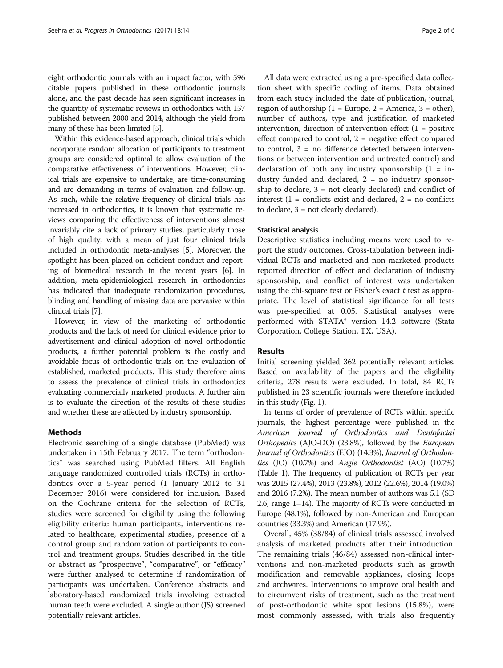eight orthodontic journals with an impact factor, with 596 citable papers published in these orthodontic journals alone, and the past decade has seen significant increases in the quantity of systematic reviews in orthodontics with 157 published between 2000 and 2014, although the yield from many of these has been limited [[5\]](#page-5-0).

Within this evidence-based approach, clinical trials which incorporate random allocation of participants to treatment groups are considered optimal to allow evaluation of the comparative effectiveness of interventions. However, clinical trials are expensive to undertake, are time-consuming and are demanding in terms of evaluation and follow-up. As such, while the relative frequency of clinical trials has increased in orthodontics, it is known that systematic reviews comparing the effectiveness of interventions almost invariably cite a lack of primary studies, particularly those of high quality, with a mean of just four clinical trials included in orthodontic meta-analyses [[5](#page-5-0)]. Moreover, the spotlight has been placed on deficient conduct and reporting of biomedical research in the recent years [\[6](#page-5-0)]. In addition, meta-epidemiological research in orthodontics has indicated that inadequate randomization procedures, blinding and handling of missing data are pervasive within clinical trials [\[7](#page-5-0)].

However, in view of the marketing of orthodontic products and the lack of need for clinical evidence prior to advertisement and clinical adoption of novel orthodontic products, a further potential problem is the costly and avoidable focus of orthodontic trials on the evaluation of established, marketed products. This study therefore aims to assess the prevalence of clinical trials in orthodontics evaluating commercially marketed products. A further aim is to evaluate the direction of the results of these studies and whether these are affected by industry sponsorship.

## Methods

Electronic searching of a single database (PubMed) was undertaken in 15th February 2017. The term "orthodontics" was searched using PubMed filters. All English language randomized controlled trials (RCTs) in orthodontics over a 5-year period (1 January 2012 to 31 December 2016) were considered for inclusion. Based on the Cochrane criteria for the selection of RCTs, studies were screened for eligibility using the following eligibility criteria: human participants, interventions related to healthcare, experimental studies, presence of a control group and randomization of participants to control and treatment groups. Studies described in the title or abstract as "prospective", "comparative", or "efficacy" were further analysed to determine if randomization of participants was undertaken. Conference abstracts and laboratory-based randomized trials involving extracted human teeth were excluded. A single author (JS) screened potentially relevant articles.

All data were extracted using a pre-specified data collection sheet with specific coding of items. Data obtained from each study included the date of publication, journal, region of authorship  $(1 = Europe, 2 = America, 3 = other)$ , number of authors, type and justification of marketed intervention, direction of intervention effect  $(1 = \text{positive})$ effect compared to control,  $2$  = negative effect compared to control, 3 = no difference detected between interventions or between intervention and untreated control) and declaration of both any industry sponsorship  $(1 = in$ dustry funded and declared,  $2 = no$  industry sponsorship to declare, 3 = not clearly declared) and conflict of interest  $(1 =$  conflicts exist and declared,  $2 =$  no conflicts to declare, 3 = not clearly declared).

#### Statistical analysis

Descriptive statistics including means were used to report the study outcomes. Cross-tabulation between individual RCTs and marketed and non-marketed products reported direction of effect and declaration of industry sponsorship, and conflict of interest was undertaken using the chi-square test or Fisher's exact  $t$  test as appropriate. The level of statistical significance for all tests was pre-specified at 0.05. Statistical analyses were performed with STATA® version 14.2 software (Stata Corporation, College Station, TX, USA).

#### Results

Initial screening yielded 362 potentially relevant articles. Based on availability of the papers and the eligibility criteria, 278 results were excluded. In total, 84 RCTs published in 23 scientific journals were therefore included in this study (Fig. [1](#page-2-0)).

In terms of order of prevalence of RCTs within specific journals, the highest percentage were published in the American Journal of Orthodontics and Dentofacial Orthopedics (AJO-DO) (23.8%), followed by the European Journal of Orthodontics (EJO) (14.3%), Journal of Orthodontics (JO) (10.7%) and Angle Orthodontist (AO) (10.7%) (Table [1\)](#page-3-0). The frequency of publication of RCTs per year was 2015 (27.4%), 2013 (23.8%), 2012 (22.6%), 2014 (19.0%) and 2016 (7.2%). The mean number of authors was 5.1 (SD 2.6, range 1–14). The majority of RCTs were conducted in Europe (48.1%), followed by non-American and European countries (33.3%) and American (17.9%).

Overall, 45% (38/84) of clinical trials assessed involved analysis of marketed products after their introduction. The remaining trials (46/84) assessed non-clinical interventions and non-marketed products such as growth modification and removable appliances, closing loops and archwires. Interventions to improve oral health and to circumvent risks of treatment, such as the treatment of post-orthodontic white spot lesions (15.8%), were most commonly assessed, with trials also frequently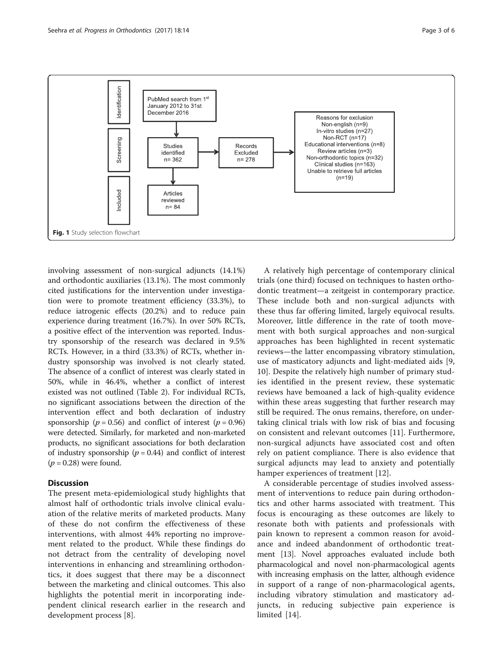<span id="page-2-0"></span>

involving assessment of non-surgical adjuncts (14.1%) and orthodontic auxiliaries (13.1%). The most commonly cited justifications for the intervention under investigation were to promote treatment efficiency (33.3%), to reduce iatrogenic effects (20.2%) and to reduce pain experience during treatment (16.7%). In over 50% RCTs, a positive effect of the intervention was reported. Industry sponsorship of the research was declared in 9.5% RCTs. However, in a third (33.3%) of RCTs, whether industry sponsorship was involved is not clearly stated. The absence of a conflict of interest was clearly stated in 50%, while in 46.4%, whether a conflict of interest existed was not outlined (Table [2\)](#page-3-0). For individual RCTs, no significant associations between the direction of the intervention effect and both declaration of industry sponsorship ( $p = 0.56$ ) and conflict of interest ( $p = 0.96$ ) were detected. Similarly, for marketed and non-marketed products, no significant associations for both declaration of industry sponsorship ( $p = 0.44$ ) and conflict of interest  $(p = 0.28)$  were found.

### **Discussion**

The present meta-epidemiological study highlights that almost half of orthodontic trials involve clinical evaluation of the relative merits of marketed products. Many of these do not confirm the effectiveness of these interventions, with almost 44% reporting no improvement related to the product. While these findings do not detract from the centrality of developing novel interventions in enhancing and streamlining orthodontics, it does suggest that there may be a disconnect between the marketing and clinical outcomes. This also highlights the potential merit in incorporating independent clinical research earlier in the research and development process [[8\]](#page-5-0).

A relatively high percentage of contemporary clinical trials (one third) focused on techniques to hasten orthodontic treatment—a zeitgeist in contemporary practice. These include both and non-surgical adjuncts with these thus far offering limited, largely equivocal results. Moreover, little difference in the rate of tooth movement with both surgical approaches and non-surgical approaches has been highlighted in recent systematic reviews—the latter encompassing vibratory stimulation, use of masticatory adjuncts and light-mediated aids [\[9](#page-5-0), [10\]](#page-5-0). Despite the relatively high number of primary studies identified in the present review, these systematic reviews have bemoaned a lack of high-quality evidence within these areas suggesting that further research may still be required. The onus remains, therefore, on undertaking clinical trials with low risk of bias and focusing on consistent and relevant outcomes [[11\]](#page-5-0). Furthermore, non-surgical adjuncts have associated cost and often rely on patient compliance. There is also evidence that surgical adjuncts may lead to anxiety and potentially hamper experiences of treatment [[12\]](#page-5-0).

A considerable percentage of studies involved assessment of interventions to reduce pain during orthodontics and other harms associated with treatment. This focus is encouraging as these outcomes are likely to resonate both with patients and professionals with pain known to represent a common reason for avoidance and indeed abandonment of orthodontic treatment [[13](#page-5-0)]. Novel approaches evaluated include both pharmacological and novel non-pharmacological agents with increasing emphasis on the latter, although evidence in support of a range of non-pharmacological agents, including vibratory stimulation and masticatory adjuncts, in reducing subjective pain experience is limited [\[14](#page-5-0)].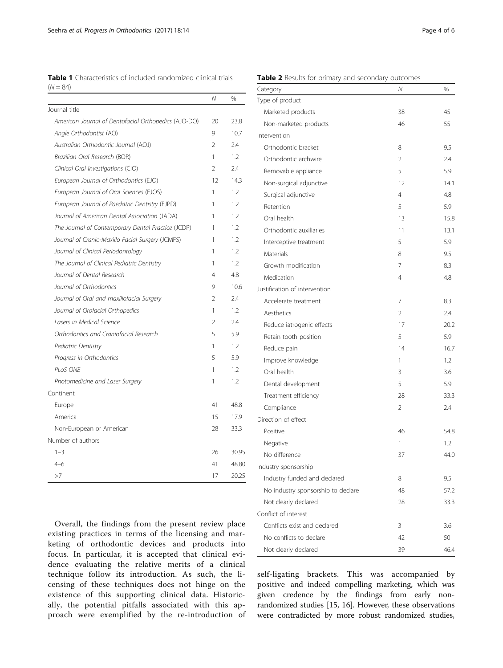<span id="page-3-0"></span>Table 1 Characteristics of included randomized clinical trials  $(N = 84)$ 

|                                                      | Ν  | %     |
|------------------------------------------------------|----|-------|
| Journal title                                        |    |       |
| American Journal of Dentofacial Orthopedics (AJO-DO) | 20 | 23.8  |
| Angle Orthodontist (AO)                              | 9  | 10.7  |
| Australian Orthodontic Journal (AOJ)                 | C  | 74    |
| Brazilian Oral Research (BOR)                        | 1  | 12    |
| Clinical Oral Investigations (CIO)                   | 2  | 2.4   |
| European Journal of Orthodontics (EJO)               | 12 | 14.3  |
| European Journal of Oral Sciences (EJOS)             | 1  | 1.2   |
| European Journal of Paedatric Dentistry (EJPD)       | 1  | 1.2   |
| Journal of American Dental Association (JADA)        | 1  | 1.2   |
| The Journal of Contemporary Dental Practice (JCDP)   | 1  | 1.2   |
| Journal of Cranio-Maxillo Facial Surgery (JCMFS)     | 1  | 1.2   |
| Journal of Clinical Periodontology                   | 1  | 1.2   |
| The Journal of Clinical Pediatric Dentistry          | 1  | 1.2   |
| Journal of Dental Research                           | 4  | 4.8   |
| Journal of Orthodontics                              | 9  | 106   |
| Journal of Oral and maxillofacial Surgery            | 2  | 74    |
| Journal of Orofacial Orthopedics                     | 1  | 1.2   |
| Lasers in Medical Science                            | 2  | 2.4   |
| Orthodontics and Craniofacial Research               | 5  | 5.9   |
| Pediatric Dentistry                                  | 1  | 1.2   |
| Progress in Orthodontics                             | 5  | 5.9   |
| PLOS ONE                                             | 1  | 1.2   |
| Photomedicine and Laser Surgery                      | 1  | 1.2   |
| Continent                                            |    |       |
| Europe                                               | 41 | 48.8  |
| America                                              | 15 | 17.9  |
| Non-European or American                             | 28 | 33.3  |
| Number of authors                                    |    |       |
| $1 - 3$                                              | 26 | 30.95 |
| 4–6                                                  | 41 | 48.80 |
| >7                                                   | 17 | 20.25 |

Overall, the findings from the present review place existing practices in terms of the licensing and marketing of orthodontic devices and products into focus. In particular, it is accepted that clinical evidence evaluating the relative merits of a clinical technique follow its introduction. As such, the licensing of these techniques does not hinge on the existence of this supporting clinical data. Historically, the potential pitfalls associated with this approach were exemplified by the re-introduction of

| Category                           | Ν  | %    |
|------------------------------------|----|------|
| Type of product                    |    |      |
| Marketed products                  | 38 | 45   |
| Non-marketed products              | 46 | 55   |
| Intervention                       |    |      |
| Orthodontic bracket                | 8  | 9.5  |
| Orthodontic archwire               | 2  | 2.4  |
| Removable appliance                | 5  | 5.9  |
| Non-surgical adjunctive            | 12 | 14.1 |
| Surgical adjunctive                | 4  | 4.8  |
| Retention                          | 5  | 5.9  |
| Oral health                        | 13 | 15.8 |
| Orthodontic auxiliaries            | 11 | 13.1 |
| Interceptive treatment             | 5  | 5.9  |
| Materials                          | 8  | 9.5  |
| Growth modification                | 7  | 8.3  |
| Medication                         | 4  | 4.8  |
| Justification of intervention      |    |      |
| Accelerate treatment               | 7  | 8.3  |
| Aesthetics                         | 2  | 2.4  |
| Reduce iatrogenic effects          | 17 | 20.2 |
| Retain tooth position              | 5  | 5.9  |
| Reduce pain                        | 14 | 16.7 |
| Improve knowledge                  | 1  | 1.2  |
| Oral health                        | 3  | 3.6  |
| Dental development                 | 5  | 5.9  |
| Treatment efficiency               | 28 | 33.3 |
| Compliance                         | 2  | 2.4  |
| Direction of effect                |    |      |
| Positive                           | 46 | 54.8 |
| Negative                           | 1  | 1.2  |
| No difference                      | 37 | 44.0 |
| Industry sponsorship               |    |      |
| Industry funded and declared       | 8  | 9.5  |
| No industry sponsorship to declare | 48 | 57.2 |
| Not clearly declared               | 28 | 33.3 |
| Conflict of interest               |    |      |
| Conflicts exist and declared       | 3  | 3.6  |
| No conflicts to declare            | 42 | 50   |
| Not clearly declared               | 39 | 46.4 |

self-ligating brackets. This was accompanied by positive and indeed compelling marketing, which was given credence by the findings from early nonrandomized studies [[15, 16\]](#page-5-0). However, these observations were contradicted by more robust randomized studies,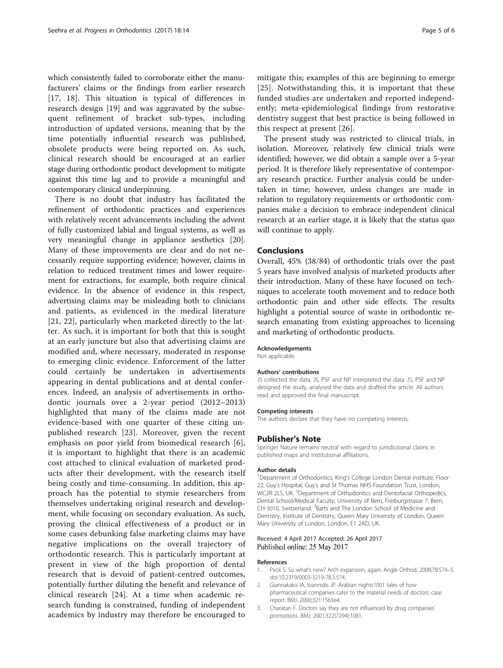<span id="page-4-0"></span>which consistently failed to corroborate either the manufacturers' claims or the findings from earlier research [[17, 18\]](#page-5-0). This situation is typical of differences in research design [\[19](#page-5-0)] and was aggravated by the subsequent refinement of bracket sub-types, including introduction of updated versions, meaning that by the time potentially influential research was published, obsolete products were being reported on. As such, clinical research should be encouraged at an earlier stage during orthodontic product development to mitigate against this time lag and to provide a meaningful and contemporary clinical underpinning.

There is no doubt that industry has facilitated the refinement of orthodontic practices and experiences with relatively recent advancements including the advent of fully customized labial and lingual systems, as well as very meaningful change in appliance aesthetics [\[20](#page-5-0)]. Many of these improvements are clear and do not necessarily require supporting evidence; however, claims in relation to reduced treatment times and lower requirement for extractions, for example, both require clinical evidence. In the absence of evidence in this respect, advertising claims may be misleading both to clinicians and patients, as evidenced in the medical literature [[21](#page-5-0), [22\]](#page-5-0), particularly when marketed directly to the latter. As such, it is important for both that this is sought at an early juncture but also that advertising claims are modified and, where necessary, moderated in response to emerging clinic evidence. Enforcement of the latter could certainly be undertaken in advertisements appearing in dental publications and at dental conferences. Indeed, an analysis of advertisements in orthodontic journals over a 2-year period (2012–2013) highlighted that many of the claims made are not evidence-based with one quarter of these citing unpublished research [\[23\]](#page-5-0). Moreover, given the recent emphasis on poor yield from biomedical research [[6](#page-5-0)], it is important to highlight that there is an academic cost attached to clinical evaluation of marketed products after their development, with the research itself being costly and time-consuming. In addition, this approach has the potential to stymie researchers from themselves undertaking original research and development, while focusing on secondary evaluation. As such, proving the clinical effectiveness of a product or in some cases debunking false marketing claims may have negative implications on the overall trajectory of orthodontic research. This is particularly important at present in view of the high proportion of dental research that is devoid of patient-centred outcomes, potentially further diluting the benefit and relevance of clinical research [[24\]](#page-5-0). At a time when academic research funding is constrained, funding of independent academics by industry may therefore be encouraged to

mitigate this; examples of this are beginning to emerge [[25](#page-5-0)]. Notwithstanding this, it is important that these funded studies are undertaken and reported independently; meta-epidemiological findings from restorative dentistry suggest that best practice is being followed in this respect at present [\[26\]](#page-5-0).

The present study was restricted to clinical trials, in isolation. Moreover, relatively few clinical trials were identified; however, we did obtain a sample over a 5-year period. It is therefore likely representative of contemporary research practice. Further analysis could be undertaken in time; however, unless changes are made in relation to regulatory requirements or orthodontic companies make a decision to embrace independent clinical research at an earlier stage, it is likely that the status quo will continue to apply.

#### Conclusions

Overall, 45% (38/84) of orthodontic trials over the past 5 years have involved analysis of marketed products after their introduction. Many of these have focused on techniques to accelerate tooth movement and to reduce both orthodontic pain and other side effects. The results highlight a potential source of waste in orthodontic research emanating from existing approaches to licensing and marketing of orthodontic products.

#### Acknowledgements

Not applicable.

#### Authors' contributions

JS collected the data. JS, PSF and NP interpreted the data. JS, PSF and NP designed the study, analysed the data and drafted the article. All authors read and approved the final manuscript.

#### Competing interests

The authors declare that they have no competing interests.

#### Publisher's Note

Springer Nature remains neutral with regard to jurisdictional claims in published maps and institutional affiliations.

#### Author details

<sup>1</sup>Department of Orthodontics, King's College London Dental Institute, Floor 22, Guy's Hospital, Guy's and St Thomas NHS Foundation Trust, London, WC2R 2LS, UK. <sup>2</sup>Department of Orthodontics and Dentofacial Orthopedics Dental School/Medical Faculty, University of Bern, Freiburgstrasse 7, Bern, CH-3010, Switzerland. <sup>3</sup>Barts and The London School of Medicine and Dentistry, Institute of Dentistry, Queen Mary University of London, Queen Mary University of London, London, E1 2AD, UK.

#### Received: 4 April 2017 Accepted: 26 April 2017 Published online: 25 May 2017

#### References

- 1. Peck S. So what's new? Arch expansion, again. Angle Orthod. 2008;78:574–5. doi[:10.2319/0003-3219-78.3.574](http://dx.doi.org/10.2319/0003-3219-78.3.574).
- 2. Giannakakis IA, Ioannidis JP. Arabian nights1001 tales of how pharmaceutical companies cater to the material needs of doctors: case report. BMJ. 2000;321:1563e4.
- 3. Charatan F. Doctors say they are not influenced by drug companies' promotions. BMJ. 2001;322(7294):1081.